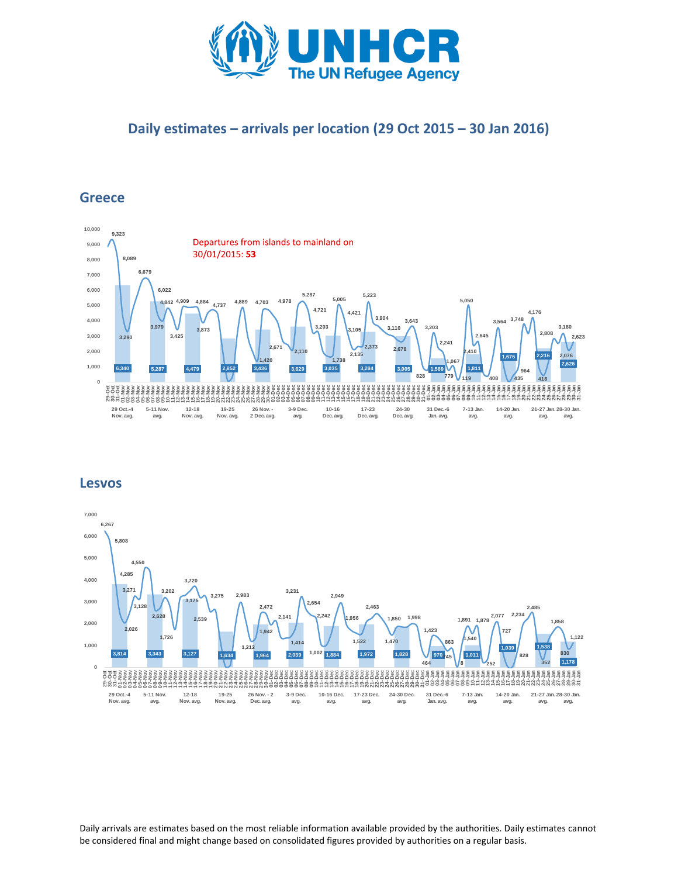

## **Daily estimates – arrivals per location (29 Oct 2015 – 30 Jan 2016)**

### **Greece**



#### **Lesvos**



Daily arrivals are estimates based on the most reliable information available provided by the authorities. Daily estimates cannot be considered final and might change based on consolidated figures provided by authorities on a regular basis.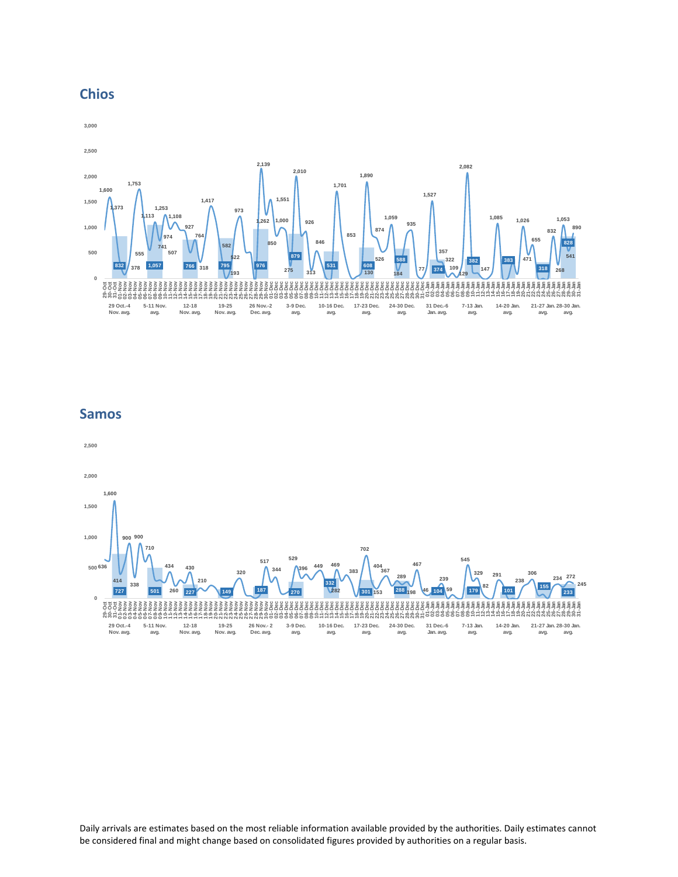



#### **Samos**



Daily arrivals are estimates based on the most reliable information available provided by the authorities. Daily estimates cannot be considered final and might change based on consolidated figures provided by authorities on a regular basis.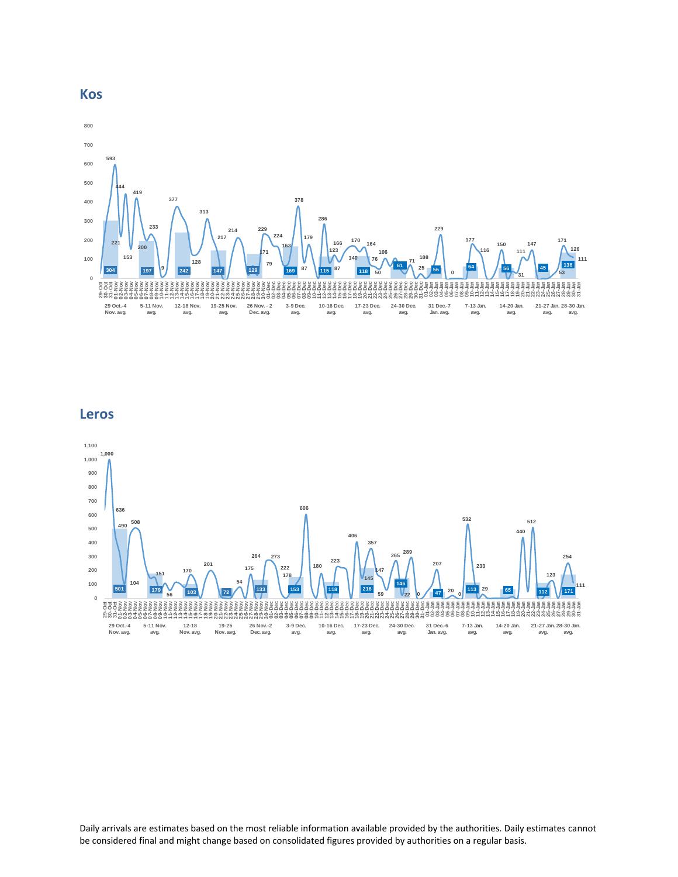

**Leros**



Daily arrivals are estimates based on the most reliable information available provided by the authorities. Daily estimates cannot be considered final and might change based on consolidated figures provided by authorities on a regular basis.

#### **Kos**